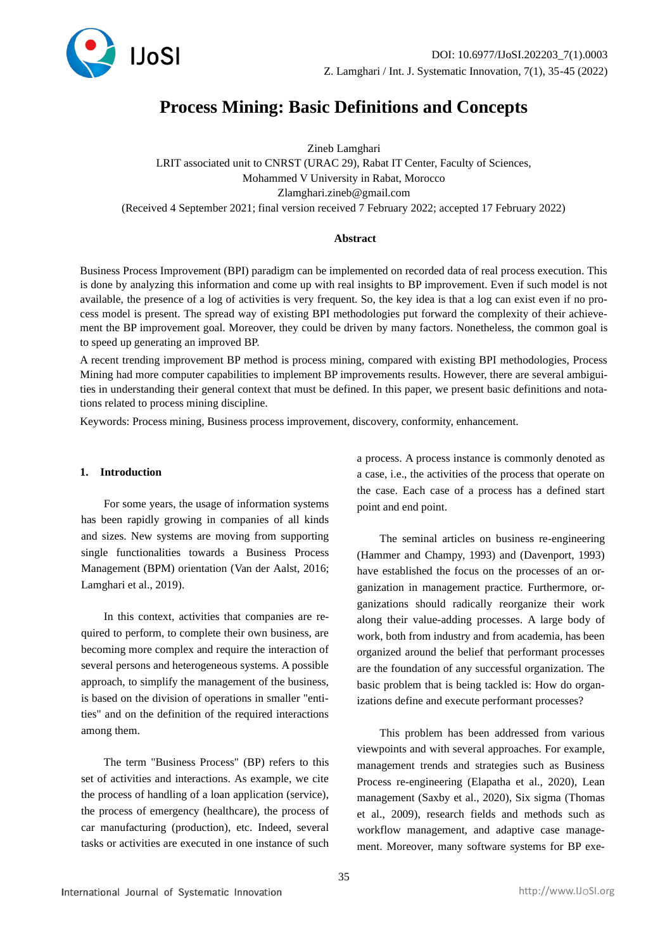

# **Process Mining: Basic Definitions and Concepts**

Zineb Lamghari LRIT associated unit to CNRST (URAC 29), Rabat IT Center, Faculty of Sciences, Mohammed V University in Rabat, Morocco Zlamghari.zineb@gmail.com (Received 4 September 2021; final version received 7 February 2022; accepted 17 February 2022)

#### **Abstract**

Business Process Improvement (BPI) paradigm can be implemented on recorded data of real process execution. This is done by analyzing this information and come up with real insights to BP improvement. Even if such model is not available, the presence of a log of activities is very frequent. So, the key idea is that a log can exist even if no process model is present. The spread way of existing BPI methodologies put forward the complexity of their achievement the BP improvement goal. Moreover, they could be driven by many factors. Nonetheless, the common goal is to speed up generating an improved BP.

A recent trending improvement BP method is process mining, compared with existing BPI methodologies, Process Mining had more computer capabilities to implement BP improvements results. However, there are several ambiguities in understanding their general context that must be defined. In this paper, we present basic definitions and notations related to process mining discipline.

Keywords: Process mining, Business process improvement, discovery, conformity, enhancement.

#### **1. Introduction**

For some years, the usage of information systems has been rapidly growing in companies of all kinds and sizes. New systems are moving from supporting single functionalities towards a Business Process Management (BPM) orientation (Van der Aalst, 2016; Lamghari et al., 2019).

In this context, activities that companies are required to perform, to complete their own business, are becoming more complex and require the interaction of several persons and heterogeneous systems. A possible approach, to simplify the management of the business, is based on the division of operations in smaller "entities" and on the definition of the required interactions among them.

The term "Business Process" (BP) refers to this set of activities and interactions. As example, we cite the process of handling of a loan application (service), the process of emergency (healthcare), the process of car manufacturing (production), etc. Indeed, several tasks or activities are executed in one instance of such a process. A process instance is commonly denoted as a case, i.e., the activities of the process that operate on the case. Each case of a process has a defined start point and end point.

The seminal articles on business re-engineering (Hammer and Champy, 1993) and (Davenport, 1993) have established the focus on the processes of an organization in management practice. Furthermore, organizations should radically reorganize their work along their value-adding processes. A large body of work, both from industry and from academia, has been organized around the belief that performant processes are the foundation of any successful organization. The basic problem that is being tackled is: How do organizations define and execute performant processes?

This problem has been addressed from various viewpoints and with several approaches. For example, management trends and strategies such as Business Process re-engineering (Elapatha et al., 2020), Lean management (Saxby et al., 2020), Six sigma (Thomas et al., 2009), research fields and methods such as workflow management, and adaptive case management. Moreover, many software systems for BP exe-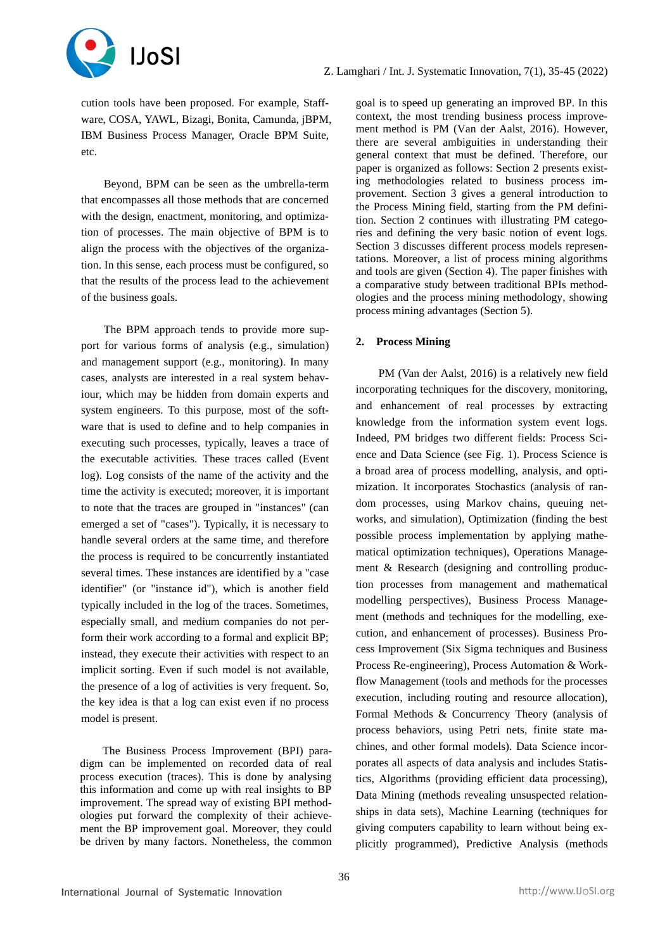

cution tools have been proposed. For example, Staffware, COSA, YAWL, Bizagi, Bonita, Camunda, jBPM, IBM Business Process Manager, Oracle BPM Suite, etc.

Beyond, BPM can be seen as the umbrella-term that encompasses all those methods that are concerned with the design, enactment, monitoring, and optimization of processes. The main objective of BPM is to align the process with the objectives of the organization. In this sense, each process must be configured, so that the results of the process lead to the achievement of the business goals.

The BPM approach tends to provide more support for various forms of analysis (e.g., simulation) and management support (e.g., monitoring). In many cases, analysts are interested in a real system behaviour, which may be hidden from domain experts and system engineers. To this purpose, most of the software that is used to define and to help companies in executing such processes, typically, leaves a trace of the executable activities. These traces called (Event log). Log consists of the name of the activity and the time the activity is executed; moreover, it is important to note that the traces are grouped in "instances" (can emerged a set of "cases"). Typically, it is necessary to handle several orders at the same time, and therefore the process is required to be concurrently instantiated several times. These instances are identified by a "case identifier" (or "instance id"), which is another field typically included in the log of the traces. Sometimes, especially small, and medium companies do not perform their work according to a formal and explicit BP; instead, they execute their activities with respect to an implicit sorting. Even if such model is not available, the presence of a log of activities is very frequent. So, the key idea is that a log can exist even if no process model is present.

The Business Process Improvement (BPI) paradigm can be implemented on recorded data of real process execution (traces). This is done by analysing this information and come up with real insights to BP improvement. The spread way of existing BPI methodologies put forward the complexity of their achievement the BP improvement goal. Moreover, they could be driven by many factors. Nonetheless, the common

goal is to speed up generating an improved BP. In this context, the most trending business process improvement method is PM (Van der Aalst, 2016). However, there are several ambiguities in understanding their general context that must be defined. Therefore, our paper is organized as follows: Section 2 presents existing methodologies related to business process improvement. Section 3 gives a general introduction to the Process Mining field, starting from the PM definition. Section 2 continues with illustrating PM categories and defining the very basic notion of event logs. Section 3 discusses different process models representations. Moreover, a list of process mining algorithms and tools are given (Section 4). The paper finishes with a comparative study between traditional BPIs methodologies and the process mining methodology, showing process mining advantages (Section 5).

# **2. Process Mining**

PM (Van der Aalst, 2016) is a relatively new field incorporating techniques for the discovery, monitoring, and enhancement of real processes by extracting knowledge from the information system event logs. Indeed, PM bridges two different fields: Process Science and Data Science (see Fig. 1). Process Science is a broad area of process modelling, analysis, and optimization. It incorporates Stochastics (analysis of random processes, using Markov chains, queuing networks, and simulation), Optimization (finding the best possible process implementation by applying mathematical optimization techniques), Operations Management & Research (designing and controlling production processes from management and mathematical modelling perspectives), Business Process Management (methods and techniques for the modelling, execution, and enhancement of processes). Business Process Improvement (Six Sigma techniques and Business Process Re-engineering), Process Automation & Workflow Management (tools and methods for the processes execution, including routing and resource allocation), Formal Methods & Concurrency Theory (analysis of process behaviors, using Petri nets, finite state machines, and other formal models). Data Science incorporates all aspects of data analysis and includes Statistics, Algorithms (providing efficient data processing), Data Mining (methods revealing unsuspected relationships in data sets), Machine Learning (techniques for giving computers capability to learn without being explicitly programmed), Predictive Analysis (methods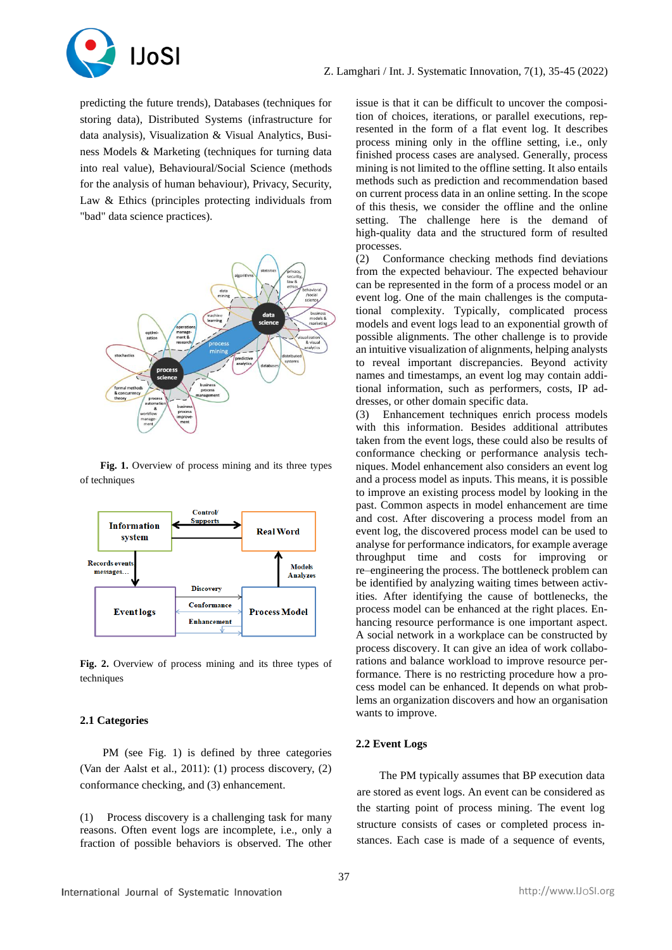

predicting the future trends), Databases (techniques for storing data), Distributed Systems (infrastructure for data analysis), Visualization & Visual Analytics, Business Models & Marketing (techniques for turning data into real value), Behavioural/Social Science (methods for the analysis of human behaviour), Privacy, Security, Law & Ethics (principles protecting individuals from "bad" data science practices).



Fig. 1. Overview of process mining and its three types of techniques



**Fig. 2.** Overview of process mining and its three types of techniques

## **2.1 Categories**

PM (see Fig. 1) is defined by three categories (Van der Aalst et al., 2011): (1) process discovery, (2) conformance checking, and (3) enhancement.

(1) Process discovery is a challenging task for many reasons. Often event logs are incomplete, i.e., only a fraction of possible behaviors is observed. The other

issue is that it can be difficult to uncover the composition of choices, iterations, or parallel executions, represented in the form of a flat event log. It describes process mining only in the offline setting, i.e., only finished process cases are analysed. Generally, process mining is not limited to the offline setting. It also entails methods such as prediction and recommendation based on current process data in an online setting. In the scope of this thesis, we consider the offline and the online setting. The challenge here is the demand of high-quality data and the structured form of resulted processes.

(2) Conformance checking methods find deviations from the expected behaviour. The expected behaviour can be represented in the form of a process model or an event log. One of the main challenges is the computational complexity. Typically, complicated process models and event logs lead to an exponential growth of possible alignments. The other challenge is to provide an intuitive visualization of alignments, helping analysts to reveal important discrepancies. Beyond activity names and timestamps, an event log may contain additional information, such as performers, costs, IP addresses, or other domain specific data.

(3) Enhancement techniques enrich process models with this information. Besides additional attributes taken from the event logs, these could also be results of conformance checking or performance analysis techniques. Model enhancement also considers an event log and a process model as inputs. This means, it is possible to improve an existing process model by looking in the past. Common aspects in model enhancement are time and cost. After discovering a process model from an event log, the discovered process model can be used to analyse for performance indicators, for example average throughput time and costs for improving or re–engineering the process. The bottleneck problem can be identified by analyzing waiting times between activities. After identifying the cause of bottlenecks, the process model can be enhanced at the right places. Enhancing resource performance is one important aspect. A social network in a workplace can be constructed by process discovery. It can give an idea of work collaborations and balance workload to improve resource performance. There is no restricting procedure how a process model can be enhanced. It depends on what problems an organization discovers and how an organisation wants to improve.

# **2.2 Event Logs**

The PM typically assumes that BP execution data are stored as event logs. An event can be considered as the starting point of process mining. The event log structure consists of cases or completed process instances. Each case is made of a sequence of events,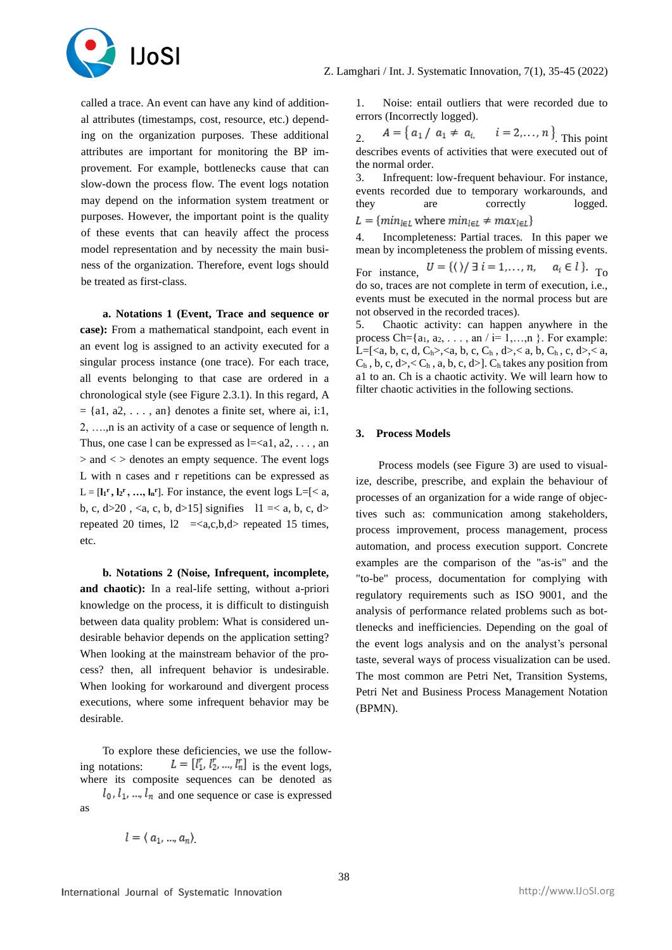

called a trace. An event can have any kind of additional attributes (timestamps, cost, resource, etc.) depending on the organization purposes. These additional attributes are important for monitoring the BP improvement. For example, bottlenecks cause that can slow-down the process flow. The event logs notation may depend on the information system treatment or purposes. However, the important point is the quality of these events that can heavily affect the process model representation and by necessity the main business of the organization. Therefore, event logs should be treated as first-class.

**a. Notations 1 (Event, Trace and sequence or case):** From a mathematical standpoint, each event in an event log is assigned to an activity executed for a singular process instance (one trace). For each trace, all events belonging to that case are ordered in a chronological style (see Figure 2.3.1). In this regard, A  $= \{a1, a2, \ldots, an\}$  denotes a finite set, where ai, i:1, 2, ….,n is an activity of a case or sequence of length n. Thus, one case l can be expressed as  $l = \langle a_1, a_2, \ldots, a_n \rangle$  $>$  and  $<$   $>$  denotes an empty sequence. The event logs L with n cases and r repetitions can be expressed as  $L = [\mathbf{l}_1^r, \mathbf{l}_2^r, \dots, \mathbf{l}_n^r]$ . For instance, the event logs  $L = \{ \langle a, a \rangle \}$ b, c,  $d>20$ ,  $\langle a, c, b, d>15$ ] signifies  $11 \le a, b, c, d>$ repeated 20 times,  $12 \leq a,c,b,d$  repeated 15 times, etc.

**b. Notations 2 (Noise, Infrequent, incomplete, and chaotic):** In a real-life setting, without a-priori knowledge on the process, it is difficult to distinguish between data quality problem: What is considered undesirable behavior depends on the application setting? When looking at the mainstream behavior of the process? then, all infrequent behavior is undesirable. When looking for workaround and divergent process executions, where some infrequent behavior may be desirable.

To explore these deficiencies, we use the following notations:  $L = [l_1^r, l_2^r, ..., l_n^r]$  is the event logs, where its composite sequences can be denoted as  $l_0$ ,  $l_1$ , ...,  $l_n$  and one sequence or case is expressed as

 $l = (a_1, ..., a_n)$ 

1. Noise: entail outliers that were recorded due to errors (Incorrectly logged).

2.  $A = \{a_1 / a_1 \neq a_{i_1} \quad i = 2,..., n\}$  This point describes events of activities that were executed out of the normal order.

3. Infrequent: low-frequent behaviour. For instance, events recorded due to temporary workarounds, and they are correctly logged.  $L = \{min_{l \in L} \text{ where } min_{l \in L} \neq max_{l \in L}\}\$ 

4. Incompleteness: Partial traces. In this paper we mean by incompleteness the problem of missing events.

For instance,  $U = \{ (\rangle / \exists i = 1,..., n, a_i \in l \}.$  To do so, traces are not complete in term of execution, i.e., events must be executed in the normal process but are not observed in the recorded traces).

5. Chaotic activity: can happen anywhere in the process Ch={ $a_1, a_2, \ldots$ , an  $\ell$  i= 1,...,n }. For example: L=[<a, b, c, d, C<sub>h</sub>>,<a, b, c, C<sub>h</sub>, d>,< a, b, C<sub>h</sub>, c, d>,< a,  $C_h$ , b, c, d>,<  $C_h$ , a, b, c, d>].  $C_h$  takes any position from a1 to an. Ch is a chaotic activity. We will learn how to filter chaotic activities in the following sections.

## **3. Process Models**

Process models (see Figure 3) are used to visualize, describe, prescribe, and explain the behaviour of processes of an organization for a wide range of objectives such as: communication among stakeholders, process improvement, process management, process automation, and process execution support. Concrete examples are the comparison of the "as-is" and the "to-be" process, documentation for complying with regulatory requirements such as ISO 9001, and the analysis of performance related problems such as bottlenecks and inefficiencies. Depending on the goal of the event logs analysis and on the analyst's personal taste, several ways of process visualization can be used. The most common are Petri Net, Transition Systems, Petri Net and Business Process Management Notation (BPMN).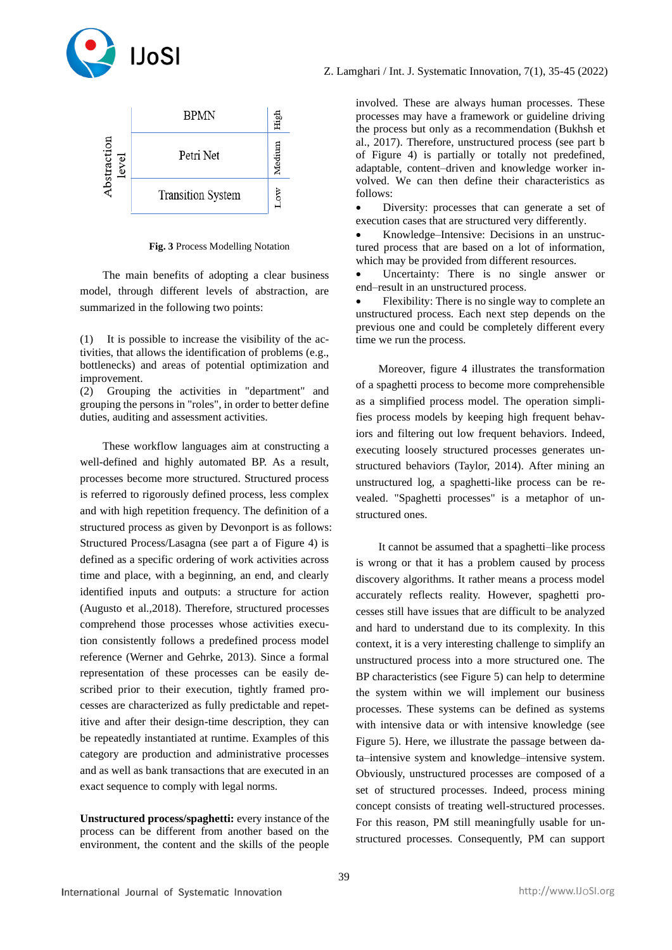



**Fig. 3** Process Modelling Notation

The main benefits of adopting a clear business model, through different levels of abstraction, are summarized in the following two points:

(1) It is possible to increase the visibility of the activities, that allows the identification of problems (e.g., bottlenecks) and areas of potential optimization and improvement.

(2) Grouping the activities in "department" and grouping the persons in "roles", in order to better define duties, auditing and assessment activities.

These workflow languages aim at constructing a well-defined and highly automated BP. As a result, processes become more structured. Structured process is referred to rigorously defined process, less complex and with high repetition frequency. The definition of a structured process as given by Devonport is as follows: Structured Process/Lasagna (see part a of Figure 4) is defined as a specific ordering of work activities across time and place, with a beginning, an end, and clearly identified inputs and outputs: a structure for action (Augusto et al.,2018). Therefore, structured processes comprehend those processes whose activities execution consistently follows a predefined process model reference (Werner and Gehrke, 2013). Since a formal representation of these processes can be easily described prior to their execution, tightly framed processes are characterized as fully predictable and repetitive and after their design-time description, they can be repeatedly instantiated at runtime. Examples of this category are production and administrative processes and as well as bank transactions that are executed in an exact sequence to comply with legal norms.

**Unstructured process/spaghetti:** every instance of the process can be different from another based on the environment, the content and the skills of the people

involved. These are always human processes. These processes may have a framework or guideline driving the process but only as a recommendation (Bukhsh et al., 2017). Therefore, unstructured process (see part b of Figure 4) is partially or totally not predefined, adaptable, content–driven and knowledge worker involved. We can then define their characteristics as follows:

Diversity: processes that can generate a set of execution cases that are structured very differently.

• Knowledge–Intensive: Decisions in an unstructured process that are based on a lot of information, which may be provided from different resources.

Uncertainty: There is no single answer or end–result in an unstructured process.

• Flexibility: There is no single way to complete an unstructured process. Each next step depends on the previous one and could be completely different every time we run the process.

Moreover, figure 4 illustrates the transformation of a spaghetti process to become more comprehensible as a simplified process model. The operation simplifies process models by keeping high frequent behaviors and filtering out low frequent behaviors. Indeed, executing loosely structured processes generates unstructured behaviors (Taylor, 2014). After mining an unstructured log, a spaghetti-like process can be revealed. "Spaghetti processes" is a metaphor of unstructured ones.

It cannot be assumed that a spaghetti–like process is wrong or that it has a problem caused by process discovery algorithms. It rather means a process model accurately reflects reality. However, spaghetti processes still have issues that are difficult to be analyzed and hard to understand due to its complexity. In this context, it is a very interesting challenge to simplify an unstructured process into a more structured one. The BP characteristics (see Figure 5) can help to determine the system within we will implement our business processes. These systems can be defined as systems with intensive data or with intensive knowledge (see Figure 5). Here, we illustrate the passage between data–intensive system and knowledge–intensive system. Obviously, unstructured processes are composed of a set of structured processes. Indeed, process mining concept consists of treating well-structured processes. For this reason, PM still meaningfully usable for unstructured processes. Consequently, PM can support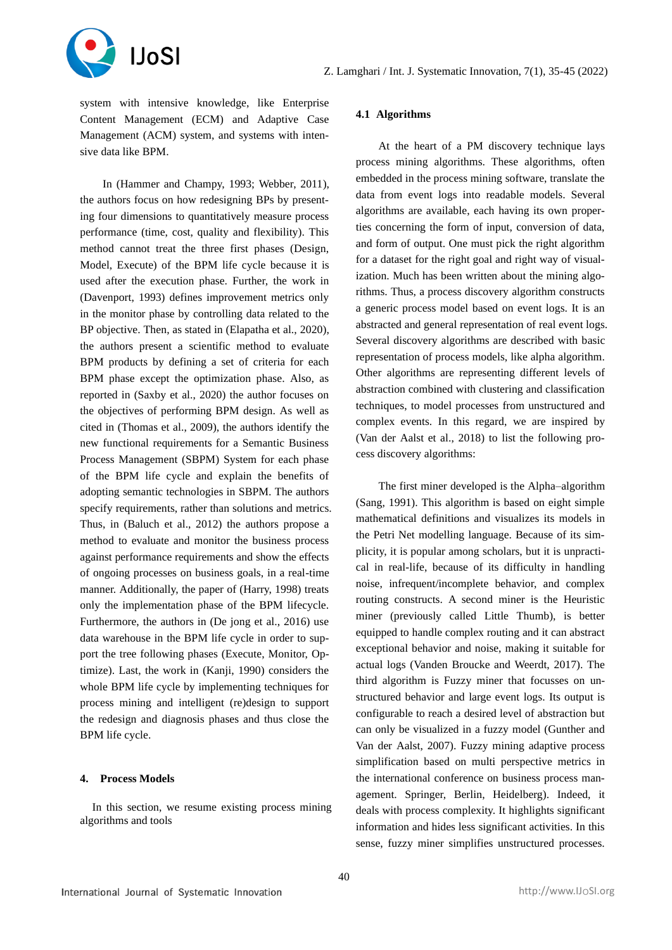

system with intensive knowledge, like Enterprise Content Management (ECM) and Adaptive Case Management (ACM) system, and systems with intensive data like BPM.

In (Hammer and Champy, 1993; Webber, 2011), the authors focus on how redesigning BPs by presenting four dimensions to quantitatively measure process performance (time, cost, quality and flexibility). This method cannot treat the three first phases (Design, Model, Execute) of the BPM life cycle because it is used after the execution phase. Further, the work in (Davenport, 1993) defines improvement metrics only in the monitor phase by controlling data related to the BP objective. Then, as stated in (Elapatha et al., 2020). the authors present a scientific method to evaluate BPM products by defining a set of criteria for each BPM phase except the optimization phase. Also, as reported in (Saxby et al., 2020) the author focuses on the objectives of performing BPM design. As well as cited in (Thomas et al., 2009), the authors identify the new functional requirements for a Semantic Business Process Management (SBPM) System for each phase of the BPM life cycle and explain the benefits of adopting semantic technologies in SBPM. The authors specify requirements, rather than solutions and metrics. Thus, in (Baluch et al., 2012) the authors propose a method to evaluate and monitor the business process against performance requirements and show the effects of ongoing processes on business goals, in a real-time manner. Additionally, the paper of (Harry, 1998) treats only the implementation phase of the BPM lifecycle. Furthermore, the authors in (De jong et al., 2016) use data warehouse in the BPM life cycle in order to support the tree following phases (Execute, Monitor, Optimize). Last, the work in (Kanji, 1990) considers the whole BPM life cycle by implementing techniques for process mining and intelligent (re)design to support the redesign and diagnosis phases and thus close the BPM life cycle.

#### **4. Process Models**

In this section, we resume existing process mining algorithms and tools

## **4.1 Algorithms**

At the heart of a PM discovery technique lays process mining algorithms. These algorithms, often embedded in the process mining software, translate the data from event logs into readable models. Several algorithms are available, each having its own properties concerning the form of input, conversion of data, and form of output. One must pick the right algorithm for a dataset for the right goal and right way of visualization. Much has been written about the mining algorithms. Thus, a process discovery algorithm constructs a generic process model based on event logs. It is an abstracted and general representation of real event logs. Several discovery algorithms are described with basic representation of process models, like alpha algorithm. Other algorithms are representing different levels of abstraction combined with clustering and classification techniques, to model processes from unstructured and complex events. In this regard, we are inspired by (Van der Aalst et al., 2018) to list the following process discovery algorithms:

The first miner developed is the Alpha–algorithm (Sang, 1991). This algorithm is based on eight simple mathematical definitions and visualizes its models in the Petri Net modelling language. Because of its simplicity, it is popular among scholars, but it is unpractical in real-life, because of its difficulty in handling noise, infrequent/incomplete behavior, and complex routing constructs. A second miner is the Heuristic miner (previously called Little Thumb), is better equipped to handle complex routing and it can abstract exceptional behavior and noise, making it suitable for actual logs (Vanden Broucke and Weerdt, 2017). The third algorithm is Fuzzy miner that focusses on unstructured behavior and large event logs. Its output is configurable to reach a desired level of abstraction but can only be visualized in a fuzzy model (Gunther and Van der Aalst, 2007). Fuzzy mining adaptive process simplification based on multi perspective metrics in the international conference on business process management. Springer, Berlin, Heidelberg). Indeed, it deals with process complexity. It highlights significant information and hides less significant activities. In this sense, fuzzy miner simplifies unstructured processes.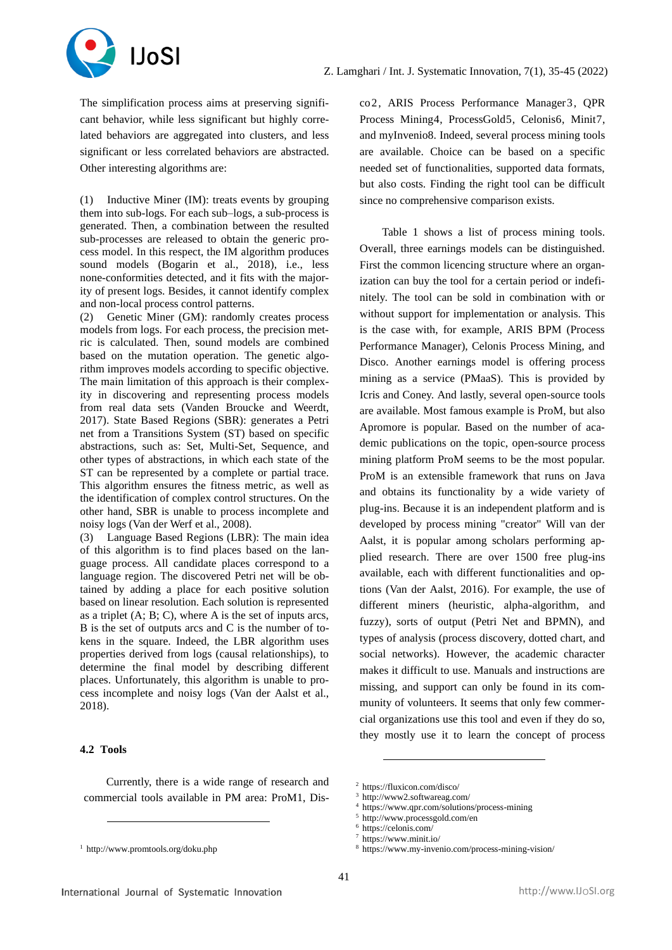

The simplification process aims at preserving significant behavior, while less significant but highly correlated behaviors are aggregated into clusters, and less significant or less correlated behaviors are abstracted. Other interesting algorithms are:

(1) Inductive Miner (IM): treats events by grouping them into sub-logs. For each sub–logs, a sub-process is generated. Then, a combination between the resulted sub-processes are released to obtain the generic process model. In this respect, the IM algorithm produces sound models (Bogarin et al., 2018), i.e., less none-conformities detected, and it fits with the majority of present logs. Besides, it cannot identify complex and non-local process control patterns.

(2) Genetic Miner (GM): randomly creates process models from logs. For each process, the precision metric is calculated. Then, sound models are combined based on the mutation operation. The genetic algorithm improves models according to specific objective. The main limitation of this approach is their complexity in discovering and representing process models from real data sets (Vanden Broucke and Weerdt, 2017). State Based Regions (SBR): generates a Petri net from a Transitions System (ST) based on specific abstractions, such as: Set, Multi-Set, Sequence, and other types of abstractions, in which each state of the ST can be represented by a complete or partial trace. This algorithm ensures the fitness metric, as well as the identification of complex control structures. On the other hand, SBR is unable to process incomplete and noisy logs (Van der Werf et al., 2008).

(3) Language Based Regions (LBR): The main idea of this algorithm is to find places based on the language process. All candidate places correspond to a language region. The discovered Petri net will be obtained by adding a place for each positive solution based on linear resolution. Each solution is represented as a triplet (A; B; C), where A is the set of inputs arcs, B is the set of outputs arcs and C is the number of tokens in the square. Indeed, the LBR algorithm uses properties derived from logs (causal relationships), to determine the final model by describing different places. Unfortunately, this algorithm is unable to process incomplete and noisy logs (Van der Aalst et al., 2018).

# **4.2 Tools**

Currently, there is a wide range of research and commercial tools available in PM area: ProM1, Disco2, ARIS Process Performance Manager3, QPR Process Mining4, ProcessGold5, Celonis6, Minit7, and myInvenio8. Indeed, several process mining tools are available. Choice can be based on a specific needed set of functionalities, supported data formats, but also costs. Finding the right tool can be difficult since no comprehensive comparison exists.

Table 1 shows a list of process mining tools. Overall, three earnings models can be distinguished. First the common licencing structure where an organization can buy the tool for a certain period or indefinitely. The tool can be sold in combination with or without support for implementation or analysis. This is the case with, for example, ARIS BPM (Process Performance Manager), Celonis Process Mining, and Disco. Another earnings model is offering process mining as a service (PMaaS). This is provided by Icris and Coney. And lastly, several open-source tools are available. Most famous example is ProM, but also Apromore is popular. Based on the number of academic publications on the topic, open-source process mining platform ProM seems to be the most popular. ProM is an extensible framework that runs on Java and obtains its functionality by a wide variety of plug-ins. Because it is an independent platform and is developed by process mining "creator" Will van der Aalst, it is popular among scholars performing applied research. There are over 1500 free plug-ins available, each with different functionalities and options (Van der Aalst, 2016). For example, the use of different miners (heuristic, alpha-algorithm, and fuzzy), sorts of output (Petri Net and BPMN), and types of analysis (process discovery, dotted chart, and social networks). However, the academic character makes it difficult to use. Manuals and instructions are missing, and support can only be found in its community of volunteers. It seems that only few commercial organizations use this tool and even if they do so, they mostly use it to learn the concept of process

<sup>8</sup> https://www.my-invenio.com/process-mining-vision/

<sup>1</sup> http://www.promtools.org/doku.php

<sup>2</sup> https://fluxicon.com/disco/

http://www2.softwareag.com/

<sup>4</sup> https://www.qpr.com/solutions/process-mining

<sup>5</sup> http://www.processgold.com/en

https://celonis.com/

<sup>7</sup> https://www.minit.io/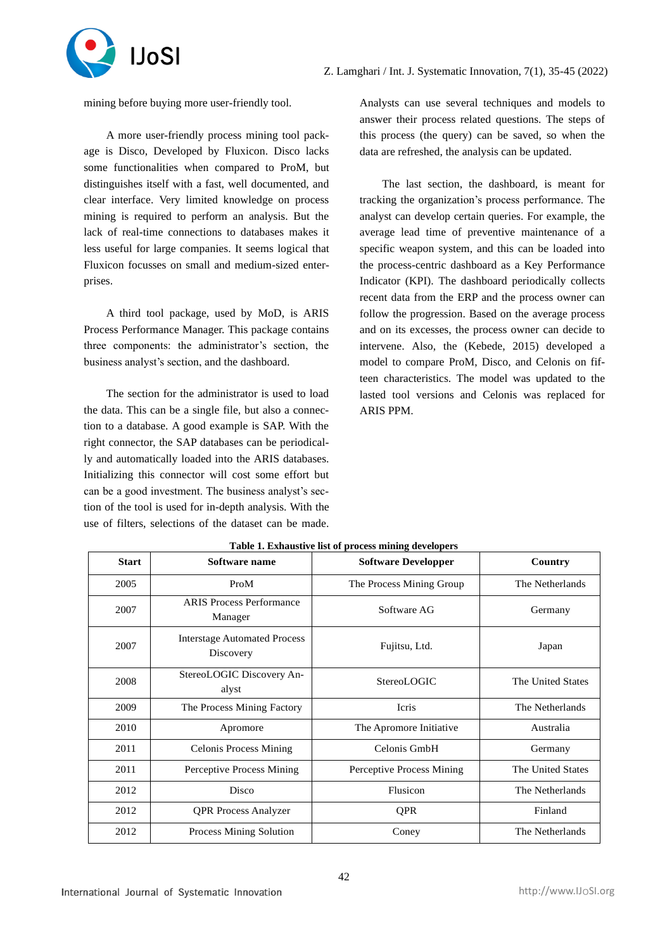

mining before buying more user-friendly tool.

A more user-friendly process mining tool package is Disco, Developed by Fluxicon. Disco lacks some functionalities when compared to ProM, but distinguishes itself with a fast, well documented, and clear interface. Very limited knowledge on process mining is required to perform an analysis. But the lack of real-time connections to databases makes it less useful for large companies. It seems logical that Fluxicon focusses on small and medium-sized enterprises.

A third tool package, used by MoD, is ARIS Process Performance Manager. This package contains three components: the administrator's section, the business analyst's section, and the dashboard.

The section for the administrator is used to load the data. This can be a single file, but also a connection to a database. A good example is SAP. With the right connector, the SAP databases can be periodically and automatically loaded into the ARIS databases. Initializing this connector will cost some effort but can be a good investment. The business analyst's section of the tool is used for in-depth analysis. With the use of filters, selections of the dataset can be made.

Analysts can use several techniques and models to answer their process related questions. The steps of this process (the query) can be saved, so when the data are refreshed, the analysis can be updated.

The last section, the dashboard, is meant for tracking the organization's process performance. The analyst can develop certain queries. For example, the average lead time of preventive maintenance of a specific weapon system, and this can be loaded into the process-centric dashboard as a Key Performance Indicator (KPI). The dashboard periodically collects recent data from the ERP and the process owner can follow the progression. Based on the average process and on its excesses, the process owner can decide to intervene. Also, the (Kebede, 2015) developed a model to compare ProM, Disco, and Celonis on fifteen characteristics. The model was updated to the lasted tool versions and Celonis was replaced for ARIS PPM.

| <b>Start</b> | Software name                                    | <b>Software Developper</b> | Country           |
|--------------|--------------------------------------------------|----------------------------|-------------------|
| 2005         | ProM                                             | The Process Mining Group   | The Netherlands   |
| 2007         | <b>ARIS Process Performance</b><br>Manager       | Software AG                | Germany           |
| 2007         | <b>Interstage Automated Process</b><br>Discovery | Fujitsu, Ltd.              | Japan             |
| 2008         | StereoLOGIC Discovery An-<br>alyst               | StereoLOGIC                | The United States |
| 2009         | The Process Mining Factory                       | Icris                      | The Netherlands   |
| 2010         | Apromore                                         | The Apromore Initiative    | Australia         |
| 2011         | <b>Celonis Process Mining</b>                    | Celonis GmbH               | Germany           |
| 2011         | Perceptive Process Mining                        | Perceptive Process Mining  | The United States |
| 2012         | Disco                                            | Flusicon                   | The Netherlands   |
| 2012         | <b>QPR Process Analyzer</b>                      | <b>QPR</b>                 | Finland           |
| 2012         | Process Mining Solution                          | Coney                      | The Netherlands   |

**Table 1. Exhaustive list of process mining developers**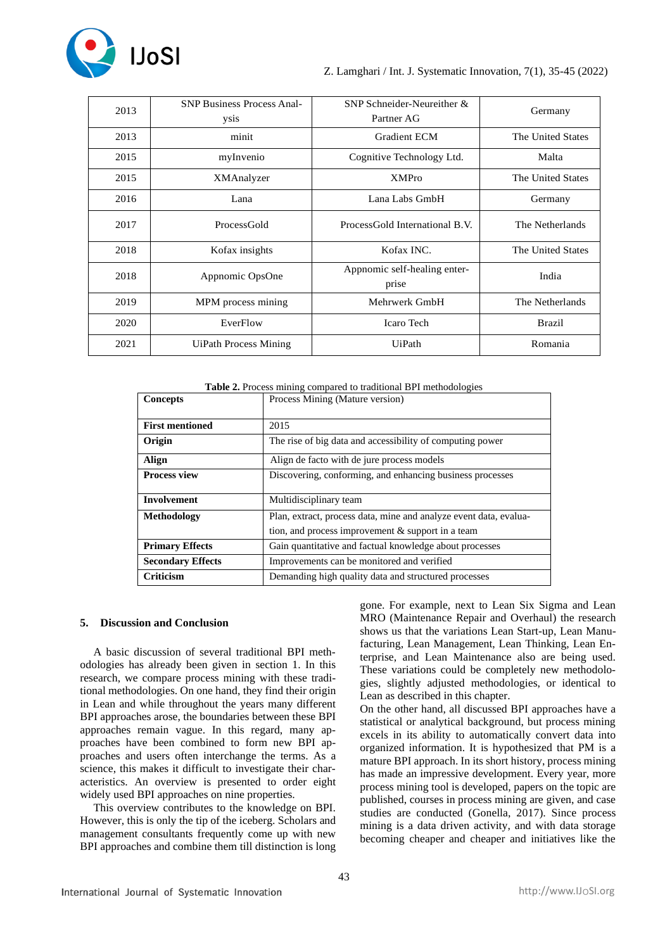

| 2013 | <b>SNP Business Process Anal-</b><br>ysis | SNP Schneider-Neureither &<br>Partner AG | Germany           |
|------|-------------------------------------------|------------------------------------------|-------------------|
| 2013 | minit                                     | <b>Gradient ECM</b>                      | The United States |
| 2015 | myInvenio                                 | Cognitive Technology Ltd.                | Malta             |
| 2015 | XMAnalyzer                                | <b>XMPro</b>                             | The United States |
| 2016 | Lana                                      | Lana Labs GmbH                           | Germany           |
| 2017 | ProcessGold                               | ProcessGold International B.V.           | The Netherlands   |
| 2018 | Kofax insights                            | Kofax INC.                               | The United States |
| 2018 | Appnomic OpsOne                           | Appnomic self-healing enter-<br>prise    | India             |
| 2019 | MPM process mining                        | Mehrwerk GmbH                            | The Netherlands   |
| 2020 | EverFlow                                  | <b>Icaro Tech</b>                        | <b>Brazil</b>     |
| 2021 | <b>UiPath Process Mining</b>              | UiPath                                   | Romania           |

**Table 2.** Process mining compared to traditional BPI methodologies

| Concepts                 | Process Mining (Mature version)                                   |
|--------------------------|-------------------------------------------------------------------|
|                          |                                                                   |
| <b>First mentioned</b>   | 2015                                                              |
| Origin                   | The rise of big data and accessibility of computing power         |
| Align                    | Align de facto with de jure process models                        |
| Process view             | Discovering, conforming, and enhancing business processes         |
|                          |                                                                   |
| <b>Involvement</b>       | Multidisciplinary team                                            |
| Methodology              | Plan, extract, process data, mine and analyze event data, evalua- |
|                          | tion, and process improvement $&$ support in a team               |
| <b>Primary Effects</b>   | Gain quantitative and factual knowledge about processes           |
| <b>Secondary Effects</b> | Improvements can be monitored and verified                        |
| Criticism                | Demanding high quality data and structured processes              |

#### **5. Discussion and Conclusion**

A basic discussion of several traditional BPI methodologies has already been given in section 1. In this research, we compare process mining with these traditional methodologies. On one hand, they find their origin in Lean and while throughout the years many different BPI approaches arose, the boundaries between these BPI approaches remain vague. In this regard, many approaches have been combined to form new BPI approaches and users often interchange the terms. As a science, this makes it difficult to investigate their characteristics. An overview is presented to order eight widely used BPI approaches on nine properties.

This overview contributes to the knowledge on BPI. However, this is only the tip of the iceberg. Scholars and management consultants frequently come up with new BPI approaches and combine them till distinction is long

gone. For example, next to Lean Six Sigma and Lean MRO (Maintenance Repair and Overhaul) the research shows us that the variations Lean Start-up, Lean Manufacturing, Lean Management, Lean Thinking, Lean Enterprise, and Lean Maintenance also are being used. These variations could be completely new methodologies, slightly adjusted methodologies, or identical to Lean as described in this chapter.

On the other hand, all discussed BPI approaches have a statistical or analytical background, but process mining excels in its ability to automatically convert data into organized information. It is hypothesized that PM is a mature BPI approach. In its short history, process mining has made an impressive development. Every year, more process mining tool is developed, papers on the topic are published, courses in process mining are given, and case studies are conducted (Gonella, 2017). Since process mining is a data driven activity, and with data storage becoming cheaper and cheaper and initiatives like the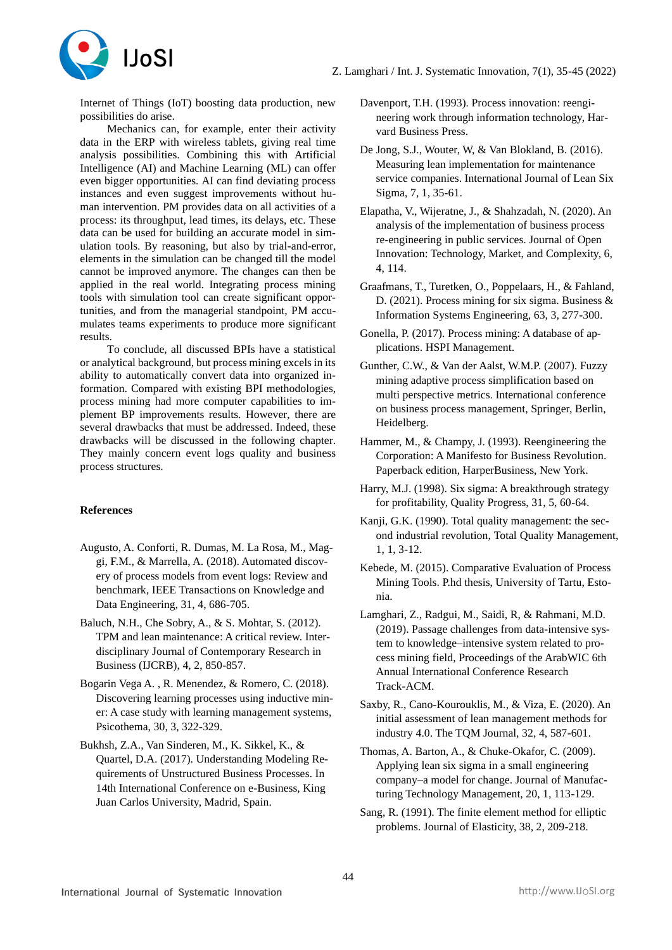

Internet of Things (IoT) boosting data production, new possibilities do arise.

Mechanics can, for example, enter their activity data in the ERP with wireless tablets, giving real time analysis possibilities. Combining this with Artificial Intelligence (AI) and Machine Learning (ML) can offer even bigger opportunities. AI can find deviating process instances and even suggest improvements without human intervention. PM provides data on all activities of a process: its throughput, lead times, its delays, etc. These data can be used for building an accurate model in simulation tools. By reasoning, but also by trial-and-error, elements in the simulation can be changed till the model cannot be improved anymore. The changes can then be applied in the real world. Integrating process mining tools with simulation tool can create significant opportunities, and from the managerial standpoint, PM accumulates teams experiments to produce more significant results.

To conclude, all discussed BPIs have a statistical or analytical background, but process mining excels in its ability to automatically convert data into organized information. Compared with existing BPI methodologies, process mining had more computer capabilities to implement BP improvements results. However, there are several drawbacks that must be addressed. Indeed, these drawbacks will be discussed in the following chapter. They mainly concern event logs quality and business process structures.

# **References**

- Augusto, A. Conforti, R. Dumas, M. La Rosa, M., Maggi, F.M., & Marrella, A. (2018). Automated discovery of process models from event logs: Review and benchmark, IEEE Transactions on Knowledge and Data Engineering, 31, 4, 686-705.
- Baluch, N.H., Che Sobry, A., & S. Mohtar, S. (2012). TPM and lean maintenance: A critical review. Interdisciplinary Journal of Contemporary Research in Business (IJCRB), 4, 2, 850-857.
- Bogarin Vega A. , R. Menendez, & Romero, C. (2018). Discovering learning processes using inductive miner: A case study with learning management systems, Psicothema, 30, 3, 322-329.
- Bukhsh, Z.A., Van Sinderen, M., K. Sikkel, K., & Quartel, D.A. (2017). Understanding Modeling Requirements of Unstructured Business Processes. In 14th International Conference on e-Business, King Juan Carlos University, Madrid, Spain.
- Davenport, T.H. (1993). Process innovation: reengineering work through information technology, Harvard Business Press.
- De Jong, S.J., Wouter, W, & Van Blokland, B. (2016). Measuring lean implementation for maintenance service companies. International Journal of Lean Six Sigma, 7, 1, 35-61.
- Elapatha, V., Wijeratne, J., & Shahzadah, N. (2020). An analysis of the implementation of business process re-engineering in public services. Journal of Open Innovation: Technology, Market, and Complexity, 6, 4, 114.
- Graafmans, T., Turetken, O., Poppelaars, H., & Fahland, D. (2021). Process mining for six sigma. Business & Information Systems Engineering, 63, 3, 277-300.
- Gonella, P. (2017). Process mining: A database of applications. HSPI Management.
- Gunther, C.W., & Van der Aalst, W.M.P. (2007). Fuzzy mining adaptive process simplification based on multi perspective metrics. International conference on business process management, Springer, Berlin, Heidelberg.
- Hammer, M., & Champy, J. (1993). Reengineering the Corporation: A Manifesto for Business Revolution. Paperback edition, HarperBusiness, New York.
- Harry, M.J. (1998). Six sigma: A breakthrough strategy for profitability, Quality Progress, 31, 5, 60-64.
- Kanji, G.K. (1990). Total quality management: the second industrial revolution, Total Quality Management, 1, 1, 3-12.
- Kebede, M. (2015). Comparative Evaluation of Process Mining Tools. P.hd thesis, University of Tartu, Estonia.
- Lamghari, Z., Radgui, M., Saidi, R, & Rahmani, M.D. (2019). Passage challenges from data-intensive system to knowledge–intensive system related to process mining field, Proceedings of the ArabWIC 6th Annual International Conference Research Track-ACM.
- Saxby, R., Cano-Kourouklis, M., & Viza, E. (2020). An initial assessment of lean management methods for industry 4.0. The TQM Journal, 32, 4, 587-601.
- Thomas, A. Barton, A., & Chuke-Okafor, C. (2009). Applying lean six sigma in a small engineering company–a model for change. Journal of Manufacturing Technology Management, 20, 1, 113-129.
- Sang, R. (1991). The finite element method for elliptic problems. Journal of Elasticity, 38, 2, 209-218.